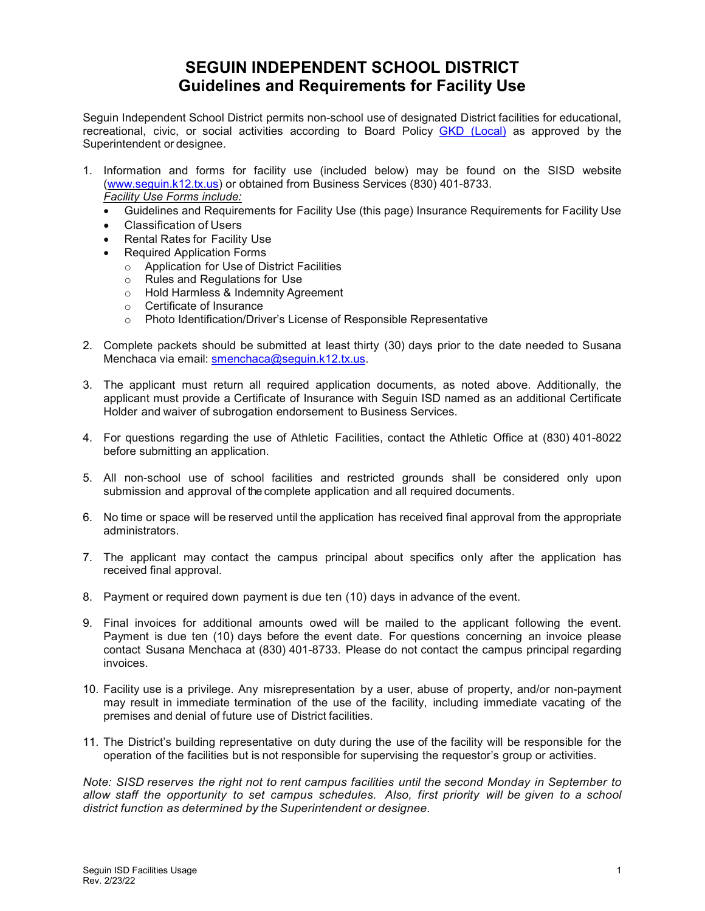# **SEGUIN INDEPENDENT SCHOOL DISTRICT Guidelines and Requirements for Facility Use**

Seguin Independent School District permits non-school use of designated District facilities for educational, recreational, civic, or social activities according to Board Policy GKD [\(Local\)](http://www.seguin.k12.tx.us/upload/page/0206/docs/GKD_LOCAL.pdf) as approved by the Superintendent or designee.

- 1. Information and forms for facility use (included below) may be found on the SISD website [\(www.seguin.k12.tx.us\)](http://www.seguin.k12.tx.us/) or obtained from Business Services (830) 401-8733. *Facility Use Forms include:*
	- Guidelines and Requirements for Facility Use (this page) Insurance Requirements for Facility Use
	- Classification of Users
	- Rental Rates for Facility Use
	- Required Application Forms
		- o Application for Use of District Facilities
		- o Rules and Regulations for Use
		- o Hold Harmless & Indemnity Agreement
		- o Certificate of Insurance
		- o Photo Identification/Driver's License of Responsible Representative
- 2. Complete packets should be submitted at least thirty (30) days prior to the date needed to Susana Menchaca via email: [smenchaca@seguin.k12.tx.us.](mailto:smenchaca@seguin.k12.tx.us)
- 3. The applicant must return all required application documents, as noted above. Additionally, the applicant must provide a Certificate of Insurance with Seguin ISD named as an additional Certificate Holder and waiver of subrogation endorsement to Business Services.
- 4. For questions regarding the use of Athletic Facilities, contact the Athletic Office at (830) 401-8022 before submitting an application.
- 5. All non-school use of school facilities and restricted grounds shall be considered only upon submission and approval of the complete application and all required documents.
- 6. No time or space will be reserved until the application has received final approval from the appropriate administrators.
- 7. The applicant may contact the campus principal about specifics only after the application has received final approval.
- 8. Payment or required down payment is due ten (10) days in advance of the event.
- 9. Final invoices for additional amounts owed will be mailed to the applicant following the event. Payment is due ten (10) days before the event date. For questions concerning an invoice please contact Susana Menchaca at (830) 401-8733. Please do not contact the campus principal regarding invoices.
- 10. Facility use is a privilege. Any misrepresentation by a user, abuse of property, and/or non-payment may result in immediate termination of the use of the facility, including immediate vacating of the premises and denial of future use of District facilities.
- 11. The District's building representative on duty during the use of the facility will be responsible for the operation of the facilities but is not responsible for supervising the requestor's group or activities.

*Note: SISD reserves the right not to rent campus facilities until the second Monday in September to allow staff the opportunity to set campus schedules. Also, first priority will be given to a school district function as determined by the Superintendent or designee.*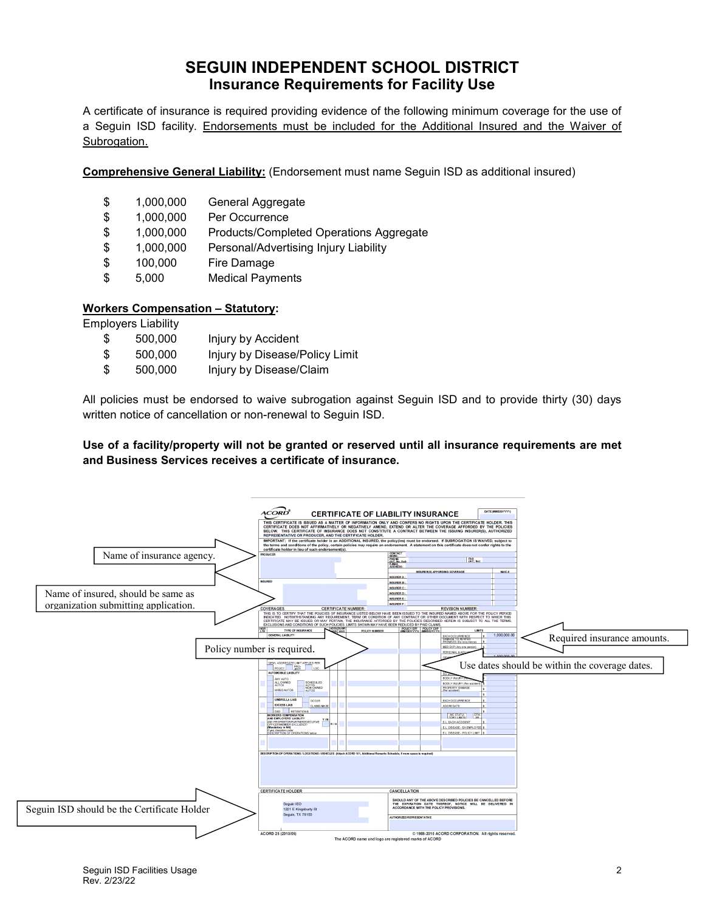## **SEGUIN INDEPENDENT SCHOOL DISTRICT Insurance Requirements for Facility Use**

A certificate of insurance is required providing evidence of the following minimum coverage for the use of a Seguin ISD facility. Endorsements must be included for the Additional Insured and the Waiver of Subrogation.

**Comprehensive General Liability:** (Endorsement must name Seguin ISD as additional insured)

| \$ | 1,000,000 | General Aggregate |
|----|-----------|-------------------|
|----|-----------|-------------------|

| \$<br>1,000,000 | Per Occurrence |
|-----------------|----------------|
|                 |                |

- \$ 1,000,000 Products/Completed Operations Aggregate
- \$ 1,000,000 Personal/Advertising Injury Liability
- \$ 100,000 Fire Damage
- \$ 5,000 Medical Payments

#### **Workers Compensation – Statutory:**

Employers Liability

| \$<br>500,000 | Injury by Accident             |
|---------------|--------------------------------|
| \$<br>500,000 | Injury by Disease/Policy Limit |
| \$<br>500,000 | Injury by Disease/Claim        |

All policies must be endorsed to waive subrogation against Seguin ISD and to provide thirty (30) days written notice of cancellation or non-renewal to Seguin ISD.

#### **Use of a facility/property will not be granted or reserved until all insurance requirements are met and Business Services receives a certificate of insurance.**

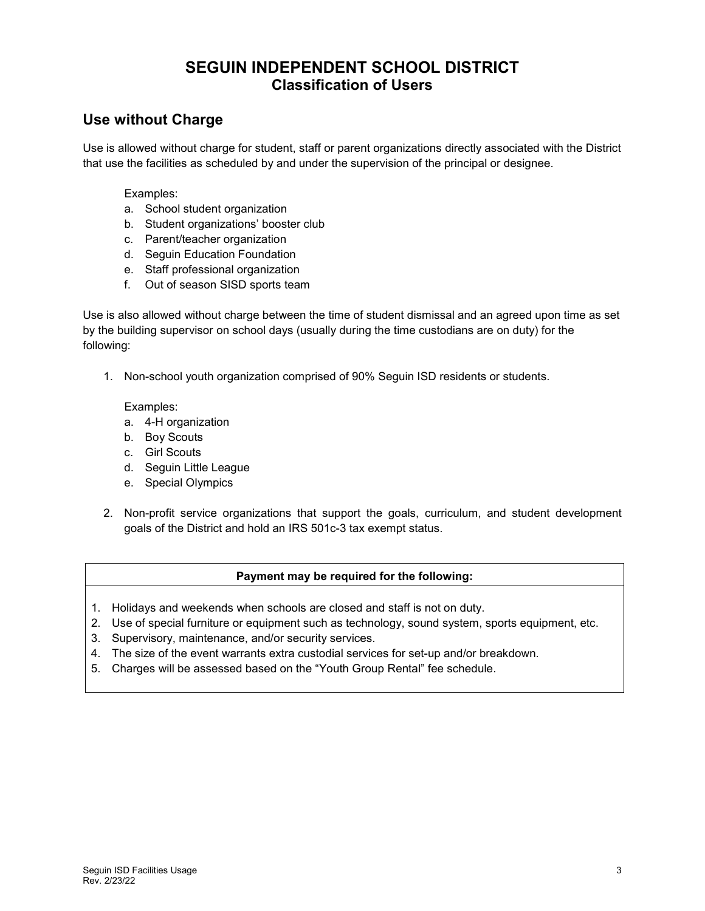## **SEGUIN INDEPENDENT SCHOOL DISTRICT Classification of Users**

### **Use without Charge**

Use is allowed without charge for student, staff or parent organizations directly associated with the District that use the facilities as scheduled by and under the supervision of the principal or designee.

Examples:

- a. School student organization
- b. Student organizations' booster club
- c. Parent/teacher organization
- d. Seguin Education Foundation
- e. Staff professional organization
- f. Out of season SISD sports team

Use is also allowed without charge between the time of student dismissal and an agreed upon time as set by the building supervisor on school days (usually during the time custodians are on duty) for the following:

1. Non-school youth organization comprised of 90% Seguin ISD residents or students.

Examples:

- a. 4-H organization
- b. Boy Scouts
- c. Girl Scouts
- d. Seguin Little League
- e. Special Olympics
- 2. Non-profit service organizations that support the goals, curriculum, and student development goals of the District and hold an IRS 501c-3 tax exempt status.

#### **Payment may be required for the following:**

- 1. Holidays and weekends when schools are closed and staff is not on duty.
- 2. Use of special furniture or equipment such as technology, sound system, sports equipment, etc.
- 3. Supervisory, maintenance, and/or security services.
- 4. The size of the event warrants extra custodial services for set-up and/or breakdown.
- 5. Charges will be assessed based on the "Youth Group Rental" fee schedule.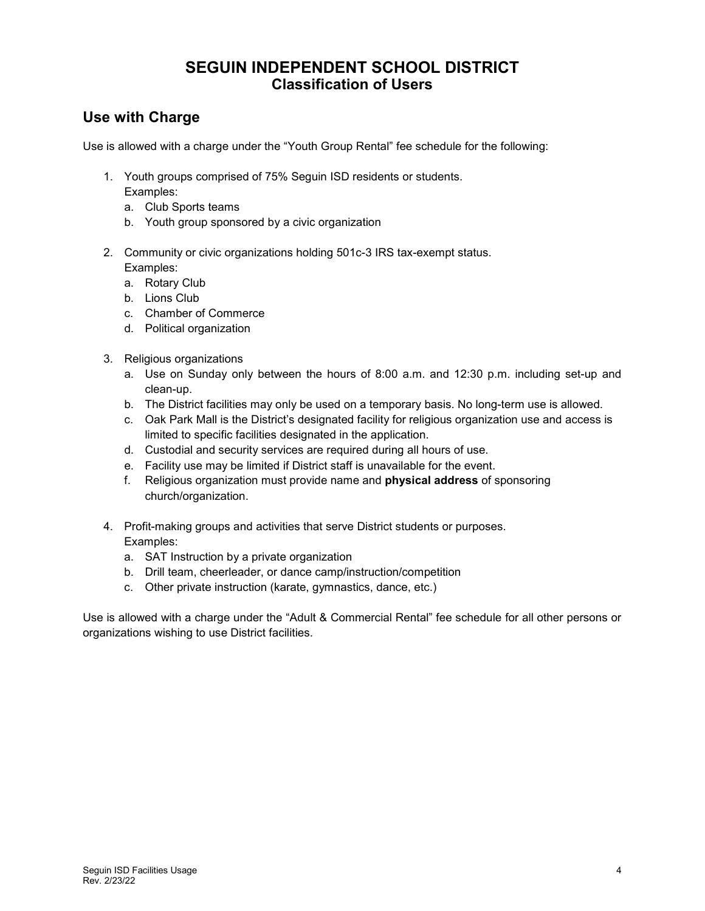## **SEGUIN INDEPENDENT SCHOOL DISTRICT Classification of Users**

### **Use with Charge**

Use is allowed with a charge under the "Youth Group Rental" fee schedule for the following:

- 1. Youth groups comprised of 75% Seguin ISD residents or students. Examples:
	- a. Club Sports teams
	- b. Youth group sponsored by a civic organization
- 2. Community or civic organizations holding 501c-3 IRS tax-exempt status. Examples:
	- a. Rotary Club
	- b. Lions Club
	- c. Chamber of Commerce
	- d. Political organization
- 3. Religious organizations
	- a. Use on Sunday only between the hours of 8:00 a.m. and 12:30 p.m. including set-up and clean-up.
	- b. The District facilities may only be used on a temporary basis. No long-term use is allowed.
	- c. Oak Park Mall is the District's designated facility for religious organization use and access is limited to specific facilities designated in the application.
	- d. Custodial and security services are required during all hours of use.
	- e. Facility use may be limited if District staff is unavailable for the event.
	- f. Religious organization must provide name and **physical address** of sponsoring church/organization.
- 4. Profit-making groups and activities that serve District students or purposes. Examples:
	- a. SAT Instruction by a private organization
	- b. Drill team, cheerleader, or dance camp/instruction/competition
	- c. Other private instruction (karate, gymnastics, dance, etc.)

Use is allowed with a charge under the "Adult & Commercial Rental" fee schedule for all other persons or organizations wishing to use District facilities.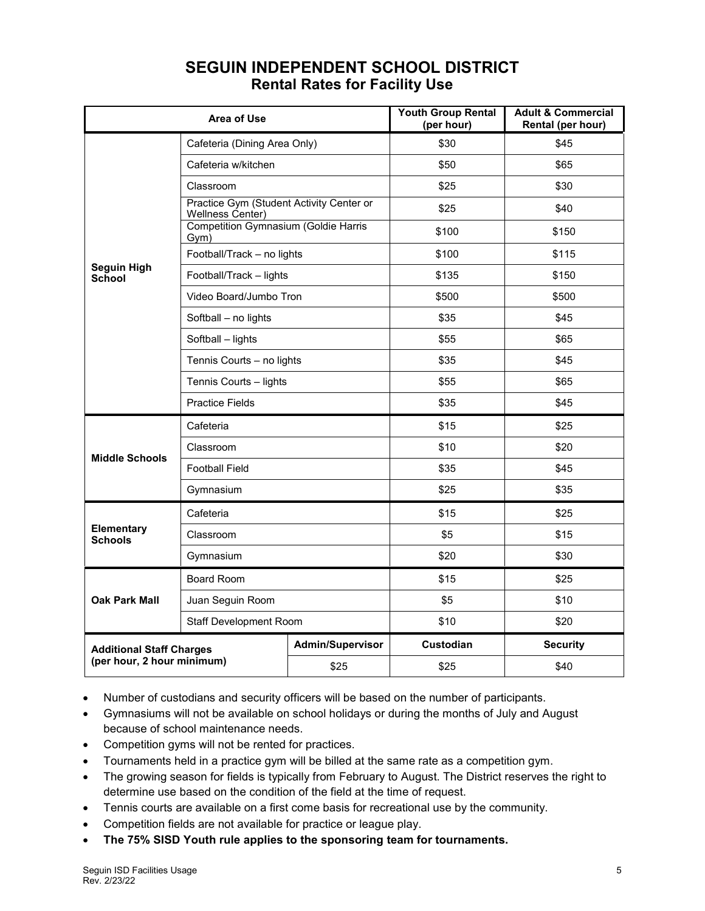| <b>Area of Use</b>                                            |                                                              | <b>Youth Group Rental</b><br>(per hour) | <b>Adult &amp; Commercial</b><br>Rental (per hour) |                 |
|---------------------------------------------------------------|--------------------------------------------------------------|-----------------------------------------|----------------------------------------------------|-----------------|
|                                                               | Cafeteria (Dining Area Only)                                 |                                         | \$30                                               | \$45            |
|                                                               | Cafeteria w/kitchen                                          |                                         | \$50                                               | \$65            |
|                                                               | Classroom                                                    |                                         | \$25                                               | \$30            |
|                                                               | Practice Gym (Student Activity Center or<br>Wellness Center) |                                         | \$25                                               | \$40            |
|                                                               | <b>Competition Gymnasium (Goldie Harris</b><br>Gym)          |                                         | \$100                                              | \$150           |
|                                                               | Football/Track - no lights                                   |                                         | \$100                                              | \$115           |
| <b>Seguin High</b><br><b>School</b>                           | Football/Track - lights                                      |                                         | \$135                                              | \$150           |
|                                                               | Video Board/Jumbo Tron                                       |                                         | \$500                                              | \$500           |
|                                                               | Softball - no lights                                         |                                         | \$35                                               | \$45            |
|                                                               | Softball - lights                                            |                                         | \$55                                               | \$65            |
|                                                               | Tennis Courts - no lights                                    |                                         | \$35                                               | \$45            |
|                                                               | Tennis Courts - lights                                       |                                         | \$55                                               | \$65            |
|                                                               | <b>Practice Fields</b>                                       |                                         | \$35                                               | \$45            |
|                                                               | Cafeteria                                                    |                                         | \$15                                               | \$25            |
| <b>Middle Schools</b>                                         | Classroom                                                    |                                         | \$10                                               | \$20            |
|                                                               | <b>Football Field</b>                                        |                                         | \$35                                               | \$45            |
|                                                               | Gymnasium                                                    |                                         | \$25                                               | \$35            |
|                                                               | Cafeteria                                                    |                                         | \$15                                               | \$25            |
| Elementary<br><b>Schools</b>                                  | Classroom                                                    |                                         | \$5                                                | \$15            |
|                                                               | Gymnasium                                                    |                                         | \$20                                               | \$30            |
|                                                               | <b>Board Room</b>                                            |                                         | \$15                                               | \$25            |
| <b>Oak Park Mall</b>                                          | Juan Seguin Room                                             |                                         | \$5                                                | \$10            |
|                                                               | Staff Development Room                                       |                                         | \$10                                               | \$20            |
| <b>Additional Staff Charges</b><br>(per hour, 2 hour minimum) |                                                              | <b>Admin/Supervisor</b>                 | Custodian                                          | <b>Security</b> |
|                                                               |                                                              | \$25                                    | \$25                                               | \$40            |

# **SEGUIN INDEPENDENT SCHOOL DISTRICT Rental Rates for Facility Use**

- Number of custodians and security officers will be based on the number of participants.
- Gymnasiums will not be available on school holidays or during the months of July and August because of school maintenance needs.
- Competition gyms will not be rented for practices.
- Tournaments held in a practice gym will be billed at the same rate as a competition gym.
- The growing season for fields is typically from February to August. The District reserves the right to determine use based on the condition of the field at the time of request.
- Tennis courts are available on a first come basis for recreational use by the community.
- Competition fields are not available for practice or league play.
- **The 75% SISD Youth rule applies to the sponsoring team for tournaments.**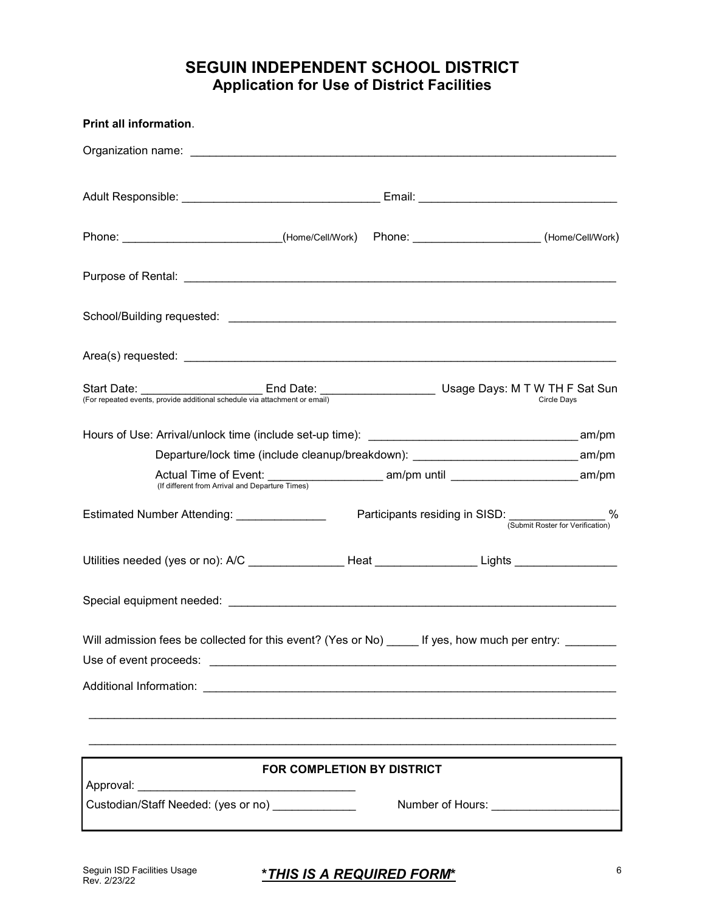# **SEGUIN INDEPENDENT SCHOOL DISTRICT Application for Use of District Facilities**

| Print all information.                                                                                                                                                                                                         |                                                  |                                  |  |  |
|--------------------------------------------------------------------------------------------------------------------------------------------------------------------------------------------------------------------------------|--------------------------------------------------|----------------------------------|--|--|
|                                                                                                                                                                                                                                |                                                  |                                  |  |  |
|                                                                                                                                                                                                                                |                                                  |                                  |  |  |
|                                                                                                                                                                                                                                |                                                  |                                  |  |  |
| Phone: _________________________(Home/Cell/Work) Phone: ____________________(Home/Cell/Work)                                                                                                                                   |                                                  |                                  |  |  |
|                                                                                                                                                                                                                                |                                                  |                                  |  |  |
|                                                                                                                                                                                                                                |                                                  |                                  |  |  |
| Area(s) requested: expression and the set of the set of the set of the set of the set of the set of the set of the set of the set of the set of the set of the set of the set of the set of the set of the set of the set of t |                                                  |                                  |  |  |
| Start Date: End Date: End Date: Usage Days: M T W TH F Sat Sun [For repeated events, provide additional schedule via attachment or email)                                                                                      |                                                  |                                  |  |  |
|                                                                                                                                                                                                                                |                                                  |                                  |  |  |
| Departure/lock time (include cleanup/breakdown): _______________________________ am/pm                                                                                                                                         |                                                  |                                  |  |  |
| Actual Time of Event: ___________________________ am/pm until ______________________________ am/pm<br>(If different from Arrival and Departure Times)                                                                          |                                                  |                                  |  |  |
| Estimated Number Attending: ________________                                                                                                                                                                                   | Participants residing in SISD: _______________ % | (Submit Roster for Verification) |  |  |
| Utilities needed (yes or no): A/C __________________Heat __________________Lights __________________                                                                                                                           |                                                  |                                  |  |  |
| Special equipment needed: Special example of the state of the state of the state of the state of the state of the state of the state of the state of the state of the state of the state of the state of the state of the stat |                                                  |                                  |  |  |
| Will admission fees be collected for this event? (Yes or No) _____ If yes, how much per entry: _______                                                                                                                         |                                                  |                                  |  |  |
|                                                                                                                                                                                                                                |                                                  |                                  |  |  |
|                                                                                                                                                                                                                                |                                                  |                                  |  |  |
|                                                                                                                                                                                                                                |                                                  |                                  |  |  |
| FOR COMPLETION BY DISTRICT                                                                                                                                                                                                     |                                                  |                                  |  |  |
| Custodian/Staff Needed: (yes or no)                                                                                                                                                                                            | Number of Hours: _______________________         |                                  |  |  |
|                                                                                                                                                                                                                                |                                                  |                                  |  |  |

#### Seguin ISD Facilities Usage 6 **\****THIS IS A REQUIRED FORM***\***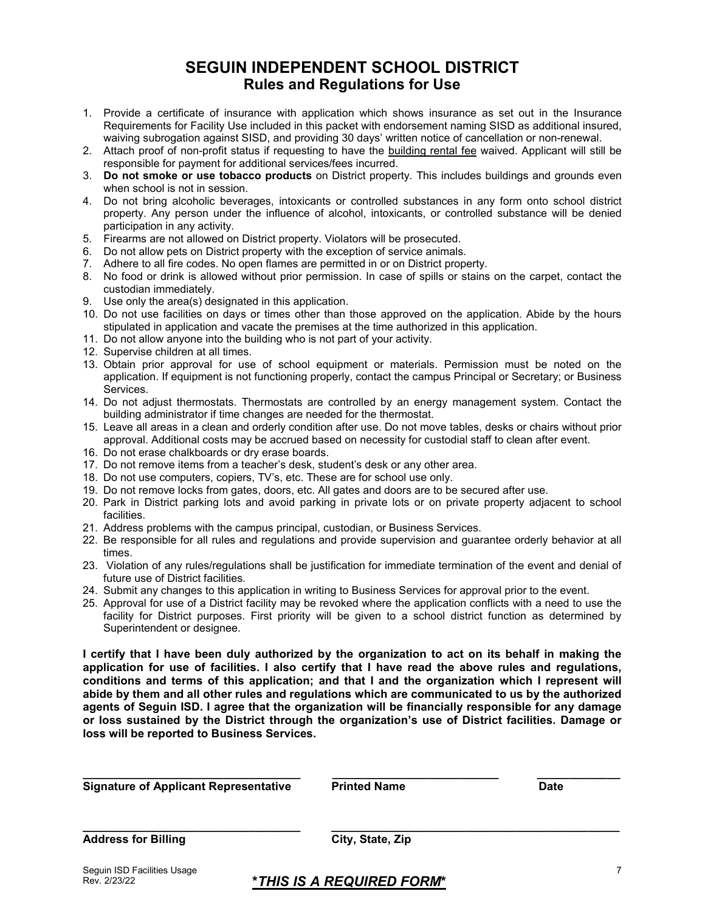### **SEGUIN INDEPENDENT SCHOOL DISTRICT Rules and Regulations for Use**

- 1. Provide a certificate of insurance with application which shows insurance as set out in the Insurance Requirements for Facility Use included in this packet with endorsement naming SISD as additional insured, waiving subrogation against SISD, and providing 30 days' written notice of cancellation or non-renewal.
- 2. Attach proof of non-profit status if requesting to have the building rental fee waived. Applicant will still be responsible for payment for additional services/fees incurred.
- 3. **Do not smoke or use tobacco products** on District property. This includes buildings and grounds even when school is not in session.
- 4. Do not bring alcoholic beverages, intoxicants or controlled substances in any form onto school district property. Any person under the influence of alcohol, intoxicants, or controlled substance will be denied participation in any activity.
- 5. Firearms are not allowed on District property. Violators will be prosecuted.
- 6. Do not allow pets on District property with the exception of service animals.
- 7. Adhere to all fire codes. No open flames are permitted in or on District property.
- 8. No food or drink is allowed without prior permission. In case of spills or stains on the carpet, contact the custodian immediately.
- 9. Use only the area(s) designated in this application.
- 10. Do not use facilities on days or times other than those approved on the application. Abide by the hours stipulated in application and vacate the premises at the time authorized in this application.
- 11. Do not allow anyone into the building who is not part of your activity.
- 12. Supervise children at all times.
- 13. Obtain prior approval for use of school equipment or materials. Permission must be noted on the application. If equipment is not functioning properly, contact the campus Principal or Secretary; or Business Services.
- 14. Do not adjust thermostats. Thermostats are controlled by an energy management system. Contact the building administrator if time changes are needed for the thermostat.
- 15. Leave all areas in a clean and orderly condition after use. Do not move tables, desks or chairs without prior approval. Additional costs may be accrued based on necessity for custodial staff to clean after event.
- 16. Do not erase chalkboards or dry erase boards.
- 17. Do not remove items from a teacher's desk, student's desk or any other area.
- 18. Do not use computers, copiers, TV's, etc. These are for school use only.
- 19. Do not remove locks from gates, doors, etc. All gates and doors are to be secured after use.
- 20. Park in District parking lots and avoid parking in private lots or on private property adjacent to school facilities.
- 21. Address problems with the campus principal, custodian, or Business Services.
- 22. Be responsible for all rules and regulations and provide supervision and guarantee orderly behavior at all times.
- 23. Violation of any rules/regulations shall be justification for immediate termination of the event and denial of future use of District facilities.
- 24. Submit any changes to this application in writing to Business Services for approval prior to the event.
- 25. Approval for use of a District facility may be revoked where the application conflicts with a need to use the facility for District purposes. First priority will be given to a school district function as determined by Superintendent or designee.

**I certify that I have been duly authorized by the organization to act on its behalf in making the application for use of facilities. I also certify that I have read the above rules and regulations, conditions and terms of this application; and that I and the organization which I represent will abide by them and all other rules and regulations which are communicated to us by the authorized agents of Seguin ISD. I agree that the organization will be financially responsible for any damage or loss sustained by the District through the organization's use of District facilities. Damage or loss will be reported to Business Services.**

| <b>Signature of Applicant Representative</b> | <b>Printed Name</b> | <b>Date</b> |
|----------------------------------------------|---------------------|-------------|
| <b>Address for Billing</b>                   | City, State, Zip    |             |
| Sequin ISD Facilities Usage                  |                     |             |

**\****THIS IS A REQUIRED FORM***\***